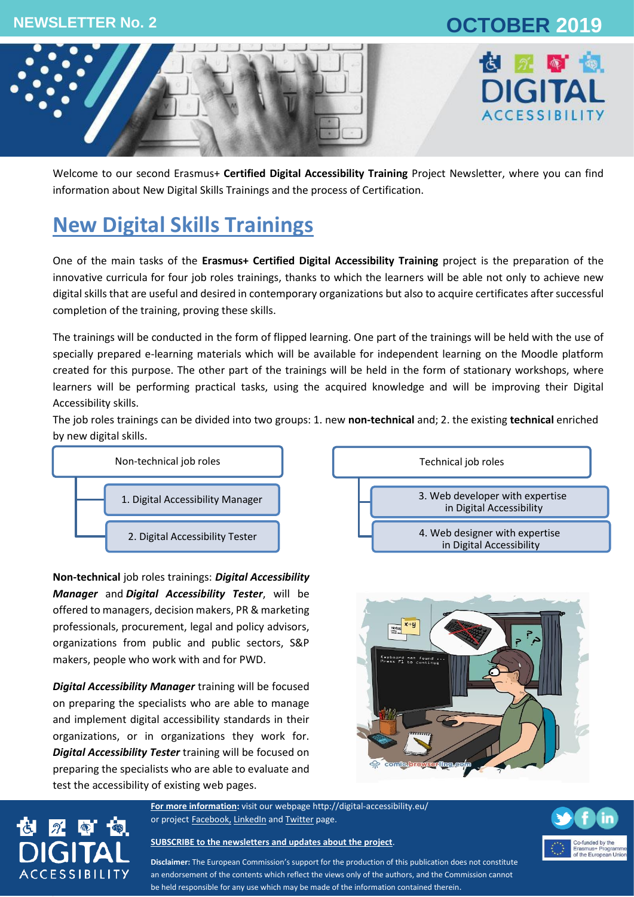### **NEWSLETTER No. 2 OCTOBER 2019**





Welcome to our second Erasmus+ **Certified Digital Accessibility Training** Project Newsletter, where you can find information about New Digital Skills Trainings and the process of Certification.

# **New Digital Skills Trainings**

One of the main tasks of the **Erasmus+ Certified Digital Accessibility Training** project is the preparation of the innovative curricula for four job roles trainings, thanks to which the learners will be able not only to achieve new digital skills that are useful and desired in contemporary organizations but also to acquire certificates after successful completion of the training, proving these skills.

The trainings will be conducted in the form of flipped learning. One part of the trainings will be held with the use of specially prepared e-learning materials which will be available for independent learning on the Moodle platform created for this purpose. The other part of the trainings will be held in the form of stationary workshops, where learners will be performing practical tasks, using the acquired knowledge and will be improving their Digital Accessibility skills.

The job roles trainings can be divided into two groups: 1. new **non-technical** and; 2. the existing **technical** enriched by new digital skills.



**Non-technical** job roles trainings: *Digital Accessibility Manager* and *Digital Accessibility Tester*, will be offered to managers, decision makers, PR & marketing professionals, procurement, legal and policy advisors, organizations from public and public sectors, S&P makers, people who work with and for PWD.

*Digital Accessibility Manager* training will be focused on preparing the specialists who are able to manage and implement digital accessibility standards in their organizations, or in organizations they work for. *Digital Accessibility Tester* training will be focused on preparing the specialists who are able to evaluate and test the accessibility of existing web pages.

**CCESSIBILITY** 





**For more information:** visit our webpage<http://digital-accessibility.eu/> or project **[Facebook,](https://www.facebook.com/digitalaccessibilityproject/) [LinkedIn](https://www.linkedin.com/company/e-digital-accessibility-project-certified-digital-accessibility-training/)** and **Twitter** page.





**Disclaimer:** The European Commission's support for the production of this publication does not constitute an endorsement of the contents which reflect the views only of the authors, and the Commission cannot be held responsible for any use which may be made of the information contained therein.